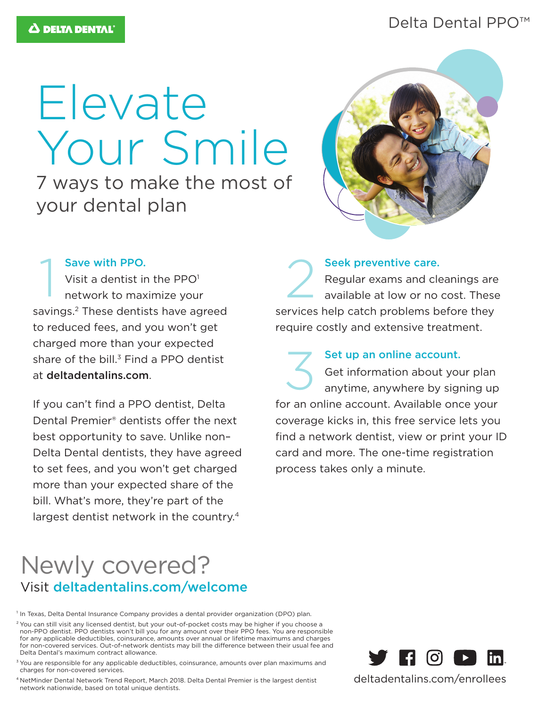# Delta Dental PPO<sup>™</sup>

# Elevate Your Smile

7 ways to make the most of your dental plan



#### Save with PPO.

Visit a dentist in the  $PPO<sup>1</sup>$ network to maximize your savings.<sup>2</sup> These dentists have agreed to reduced fees, and you won't get charged more than your expected share of the bill. $3$  Find a PPO dentist at deltadentalins.com. Save with PPO.<br>Visit a dentist in the PPO<sup>1</sup><br>network to maximize your

If you can't find a PPO dentist, Delta Dental Premier® dentists offer the next best opportunity to save. Unlike non– Delta Dental dentists, they have agreed to set fees, and you won't get charged more than your expected share of the bill. What's more, they're part of the largest dentist network in the country.<sup>4</sup>

Seek preventive care. Regular exams and cleanings are available at low or no cost. These services help catch problems before they require costly and extensive treatment.

Set up an online account. Get information about your plan anytime, anywhere by signing up for an online account. Available once your coverage kicks in, this free service lets you find a network dentist, view or print your ID card and more. The one-time registration process takes only a minute. 3

# Newly covered? Visit deltadentalins.com/welcome

<sup>1</sup> In Texas, Delta Dental Insurance Company provides a dental provider organization (DPO) plan.

<sup>2</sup> You can still visit any licensed dentist, but your out-of-pocket costs may be higher if you choose a non-PPO dentist. PPO dentists won't bill you for any amount over their PPO fees. You are responsible for any applicable deductibles, coinsurance, amounts over annual or lifetime maximums and charges for non-covered services. Out-of-network dentists may bill the difference between their usual fee and Delta Dental's maximum contract allowance.

<sup>3</sup> You are responsible for any applicable deductibles, coinsurance, amounts over plan maximums and charges for non-covered services.

4 NetMinder Dental Network Trend Report, March 2018. Delta Dental Premier is the largest dentist network nationwide, based on total unique dentists.



deltadentalins.com/enrollees